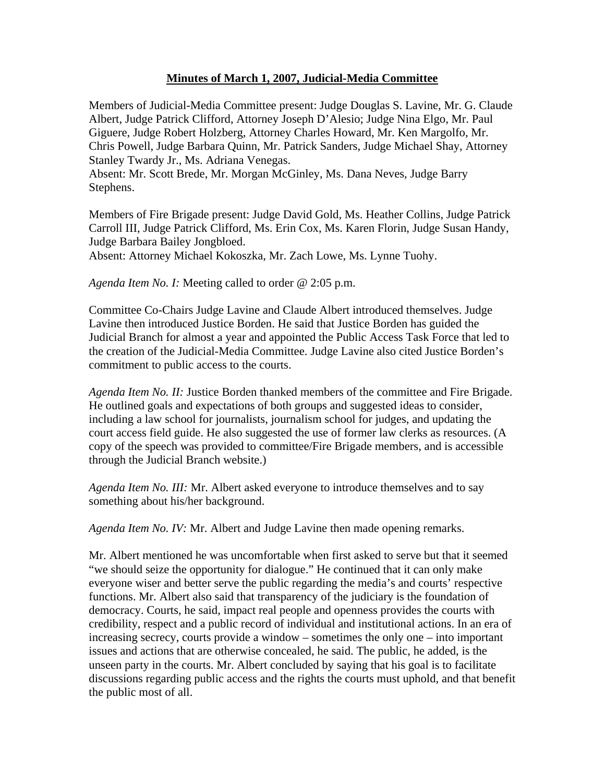## **Minutes of March 1, 2007, Judicial-Media Committee**

Members of Judicial-Media Committee present: Judge Douglas S. Lavine, Mr. G. Claude Albert, Judge Patrick Clifford, Attorney Joseph D'Alesio; Judge Nina Elgo, Mr. Paul Giguere, Judge Robert Holzberg, Attorney Charles Howard, Mr. Ken Margolfo, Mr. Chris Powell, Judge Barbara Quinn, Mr. Patrick Sanders, Judge Michael Shay, Attorney Stanley Twardy Jr., Ms. Adriana Venegas.

Absent: Mr. Scott Brede, Mr. Morgan McGinley, Ms. Dana Neves, Judge Barry Stephens.

Members of Fire Brigade present: Judge David Gold, Ms. Heather Collins, Judge Patrick Carroll III, Judge Patrick Clifford, Ms. Erin Cox, Ms. Karen Florin, Judge Susan Handy, Judge Barbara Bailey Jongbloed.

Absent: Attorney Michael Kokoszka, Mr. Zach Lowe, Ms. Lynne Tuohy.

*Agenda Item No. I:* Meeting called to order @ 2:05 p.m.

Committee Co-Chairs Judge Lavine and Claude Albert introduced themselves. Judge Lavine then introduced Justice Borden. He said that Justice Borden has guided the Judicial Branch for almost a year and appointed the Public Access Task Force that led to the creation of the Judicial-Media Committee. Judge Lavine also cited Justice Borden's commitment to public access to the courts.

*Agenda Item No. II:* Justice Borden thanked members of the committee and Fire Brigade. He outlined goals and expectations of both groups and suggested ideas to consider, including a law school for journalists, journalism school for judges, and updating the court access field guide. He also suggested the use of former law clerks as resources. (A copy of the speech was provided to committee/Fire Brigade members, and is accessible through the Judicial Branch website.)

*Agenda Item No. III:* Mr. Albert asked everyone to introduce themselves and to say something about his/her background.

*Agenda Item No. IV:* Mr. Albert and Judge Lavine then made opening remarks.

Mr. Albert mentioned he was uncomfortable when first asked to serve but that it seemed "we should seize the opportunity for dialogue." He continued that it can only make everyone wiser and better serve the public regarding the media's and courts' respective functions. Mr. Albert also said that transparency of the judiciary is the foundation of democracy. Courts, he said, impact real people and openness provides the courts with credibility, respect and a public record of individual and institutional actions. In an era of increasing secrecy, courts provide a window – sometimes the only one – into important issues and actions that are otherwise concealed, he said. The public, he added, is the unseen party in the courts. Mr. Albert concluded by saying that his goal is to facilitate discussions regarding public access and the rights the courts must uphold, and that benefit the public most of all.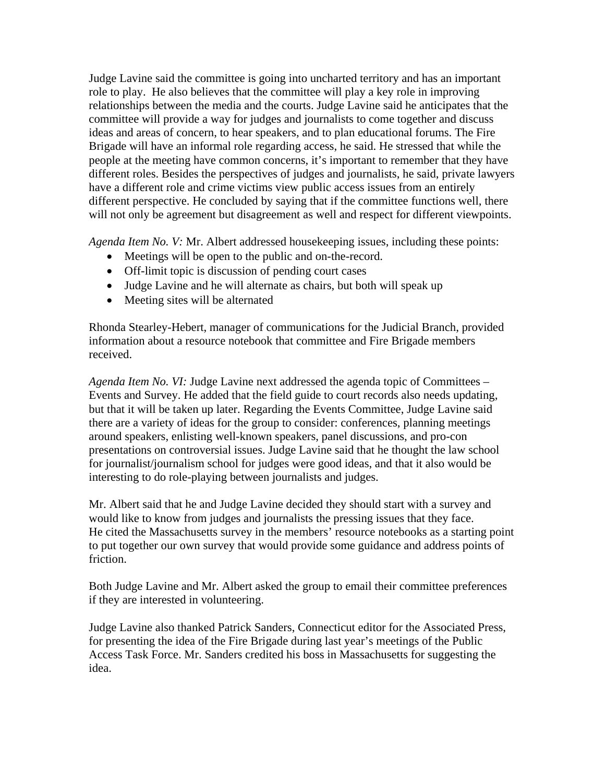Judge Lavine said the committee is going into uncharted territory and has an important role to play. He also believes that the committee will play a key role in improving relationships between the media and the courts. Judge Lavine said he anticipates that the committee will provide a way for judges and journalists to come together and discuss ideas and areas of concern, to hear speakers, and to plan educational forums. The Fire Brigade will have an informal role regarding access, he said. He stressed that while the people at the meeting have common concerns, it's important to remember that they have different roles. Besides the perspectives of judges and journalists, he said, private lawyers have a different role and crime victims view public access issues from an entirely different perspective. He concluded by saying that if the committee functions well, there will not only be agreement but disagreement as well and respect for different viewpoints.

*Agenda Item No. V:* Mr. Albert addressed housekeeping issues, including these points:

- Meetings will be open to the public and on-the-record.
- Off-limit topic is discussion of pending court cases
- Judge Lavine and he will alternate as chairs, but both will speak up
- Meeting sites will be alternated

Rhonda Stearley-Hebert, manager of communications for the Judicial Branch, provided information about a resource notebook that committee and Fire Brigade members received.

*Agenda Item No. VI:* Judge Lavine next addressed the agenda topic of Committees – Events and Survey. He added that the field guide to court records also needs updating, but that it will be taken up later. Regarding the Events Committee, Judge Lavine said there are a variety of ideas for the group to consider: conferences, planning meetings around speakers, enlisting well-known speakers, panel discussions, and pro-con presentations on controversial issues. Judge Lavine said that he thought the law school for journalist/journalism school for judges were good ideas, and that it also would be interesting to do role-playing between journalists and judges.

Mr. Albert said that he and Judge Lavine decided they should start with a survey and would like to know from judges and journalists the pressing issues that they face. He cited the Massachusetts survey in the members' resource notebooks as a starting point to put together our own survey that would provide some guidance and address points of friction.

Both Judge Lavine and Mr. Albert asked the group to email their committee preferences if they are interested in volunteering.

Judge Lavine also thanked Patrick Sanders, Connecticut editor for the Associated Press, for presenting the idea of the Fire Brigade during last year's meetings of the Public Access Task Force. Mr. Sanders credited his boss in Massachusetts for suggesting the idea.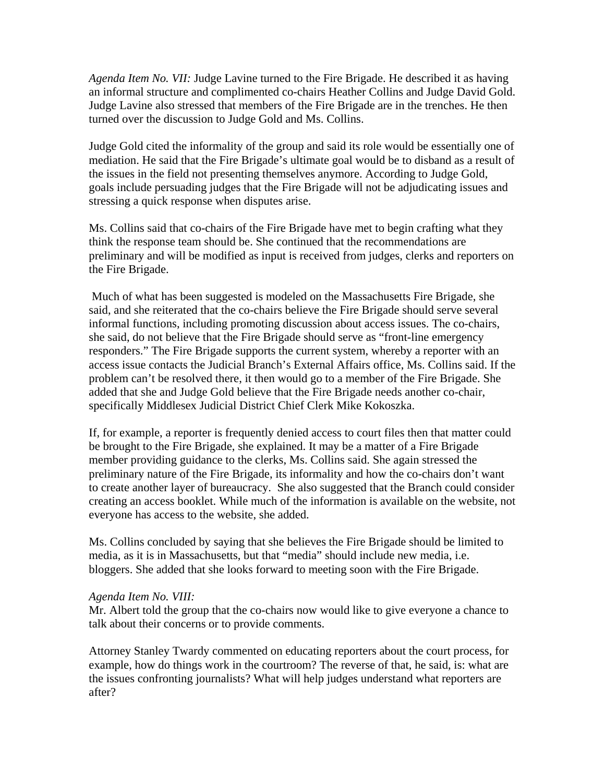*Agenda Item No. VII:* Judge Lavine turned to the Fire Brigade. He described it as having an informal structure and complimented co-chairs Heather Collins and Judge David Gold. Judge Lavine also stressed that members of the Fire Brigade are in the trenches. He then turned over the discussion to Judge Gold and Ms. Collins.

Judge Gold cited the informality of the group and said its role would be essentially one of mediation. He said that the Fire Brigade's ultimate goal would be to disband as a result of the issues in the field not presenting themselves anymore. According to Judge Gold, goals include persuading judges that the Fire Brigade will not be adjudicating issues and stressing a quick response when disputes arise.

Ms. Collins said that co-chairs of the Fire Brigade have met to begin crafting what they think the response team should be. She continued that the recommendations are preliminary and will be modified as input is received from judges, clerks and reporters on the Fire Brigade.

 Much of what has been suggested is modeled on the Massachusetts Fire Brigade, she said, and she reiterated that the co-chairs believe the Fire Brigade should serve several informal functions, including promoting discussion about access issues. The co-chairs, she said, do not believe that the Fire Brigade should serve as "front-line emergency responders." The Fire Brigade supports the current system, whereby a reporter with an access issue contacts the Judicial Branch's External Affairs office, Ms. Collins said. If the problem can't be resolved there, it then would go to a member of the Fire Brigade. She added that she and Judge Gold believe that the Fire Brigade needs another co-chair, specifically Middlesex Judicial District Chief Clerk Mike Kokoszka.

If, for example, a reporter is frequently denied access to court files then that matter could be brought to the Fire Brigade, she explained. It may be a matter of a Fire Brigade member providing guidance to the clerks, Ms. Collins said. She again stressed the preliminary nature of the Fire Brigade, its informality and how the co-chairs don't want to create another layer of bureaucracy. She also suggested that the Branch could consider creating an access booklet. While much of the information is available on the website, not everyone has access to the website, she added.

Ms. Collins concluded by saying that she believes the Fire Brigade should be limited to media, as it is in Massachusetts, but that "media" should include new media, i.e. bloggers. She added that she looks forward to meeting soon with the Fire Brigade.

## *Agenda Item No. VIII:*

Mr. Albert told the group that the co-chairs now would like to give everyone a chance to talk about their concerns or to provide comments.

Attorney Stanley Twardy commented on educating reporters about the court process, for example, how do things work in the courtroom? The reverse of that, he said, is: what are the issues confronting journalists? What will help judges understand what reporters are after?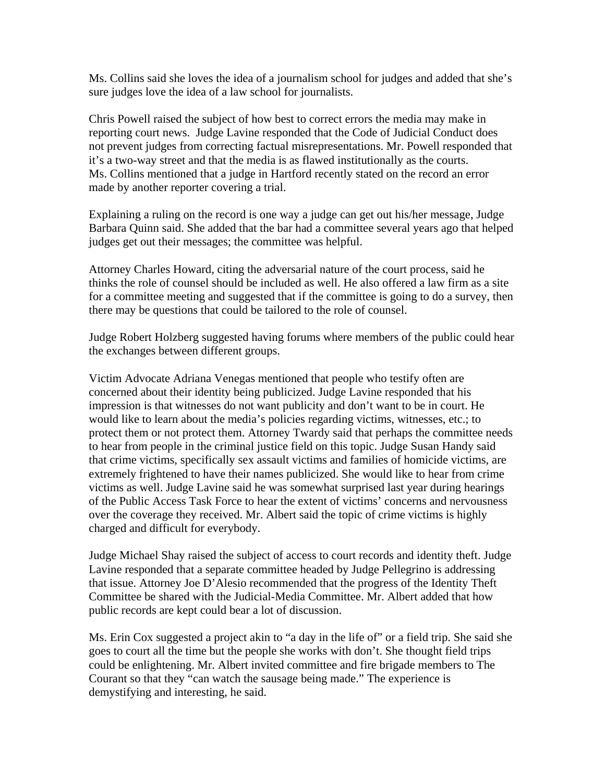Ms. Collins said she loves the idea of a journalism school for judges and added that she's sure judges love the idea of a law school for journalists.

Chris Powell raised the subject of how best to correct errors the media may make in reporting court news. Judge Lavine responded that the Code of Judicial Conduct does not prevent judges from correcting factual misrepresentations. Mr. Powell responded that it's a two-way street and that the media is as flawed institutionally as the courts. Ms. Collins mentioned that a judge in Hartford recently stated on the record an error made by another reporter covering a trial.

Explaining a ruling on the record is one way a judge can get out his/her message, Judge Barbara Quinn said. She added that the bar had a committee several years ago that helped judges get out their messages; the committee was helpful.

Attorney Charles Howard, citing the adversarial nature of the court process, said he thinks the role of counsel should be included as well. He also offered a law firm as a site for a committee meeting and suggested that if the committee is going to do a survey, then there may be questions that could be tailored to the role of counsel.

Judge Robert Holzberg suggested having forums where members of the public could hear the exchanges between different groups.

Victim Advocate Adriana Venegas mentioned that people who testify often are concerned about their identity being publicized. Judge Lavine responded that his impression is that witnesses do not want publicity and don't want to be in court. He would like to learn about the media's policies regarding victims, witnesses, etc.; to protect them or not protect them. Attorney Twardy said that perhaps the committee needs to hear from people in the criminal justice field on this topic. Judge Susan Handy said that crime victims, specifically sex assault victims and families of homicide victims, are extremely frightened to have their names publicized. She would like to hear from crime victims as well. Judge Lavine said he was somewhat surprised last year during hearings of the Public Access Task Force to hear the extent of victims' concerns and nervousness over the coverage they received. Mr. Albert said the topic of crime victims is highly charged and difficult for everybody.

Judge Michael Shay raised the subject of access to court records and identity theft. Judge Lavine responded that a separate committee headed by Judge Pellegrino is addressing that issue. Attorney Joe D'Alesio recommended that the progress of the Identity Theft Committee be shared with the Judicial-Media Committee. Mr. Albert added that how public records are kept could bear a lot of discussion.

Ms. Erin Cox suggested a project akin to "a day in the life of" or a field trip. She said she goes to court all the time but the people she works with don't. She thought field trips could be enlightening. Mr. Albert invited committee and fire brigade members to The Courant so that they "can watch the sausage being made." The experience is demystifying and interesting, he said.